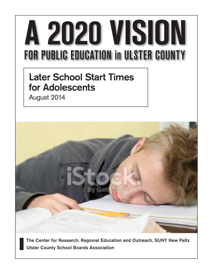# A 2020 VISION **FOR PUBLIC EDUCATION in ULSTER COUNTY**

# Later School Start Times for Adolescents

August 2014



The Center for Research, Regional Education and Outreach, SUNY New Paltz Ulster County School Boards Association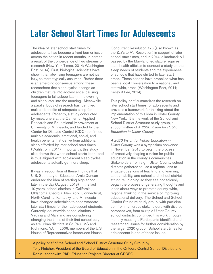# **Later School Start Times for Adolescents**

The idea of later school start times for adolescents has become a front burner issue across the nation in recent months, in part as a result of the convergence of two streams of research (New York Times, 2014; Washington Post, 2014). First, biological scientists have shown that late-rising teenagers are not just lazy, as stereotypically assumed. Rather there is an emerging consensus among these researchers that sleep cycles change as children mature into adolescence, causing teenagers to fall asleep later in the evening and sleep later into the morning. Meanwhile a parallel body of research has identified multiple benefits of adequate sleep for adolescents. Recently, a study conducted by researchers at the Center for Applied Research and Educational Improvement at University of Minnesota, and funded by the Center for Disease Control (CDC) confirmed multiple academic, emotional, social, and health benefits that derive from additional sleep afforded by later school start times (Wahlstrom, 2014). Importantly, this study also shows that when school starts later—and is thus aligned with adolescent sleep cycles adolescents actually get more sleep.

It was in recognition of these findings that U.S. Secretary of Education Arnie Duncan endorsed the idea of starting high school later in the day (August, 2013). In the last 10 years, school districts in California, Oklahoma, Georgia, New York, Connecticut, North Carolina, Kentucky, and Minnesota have changed schedules to accommodate later start times for their adolescent students. Currently, countywide school districts in Virginia and Maryland are considering changing the times of their first school bell, as are urban districts in St. Paul, MS and Richmond, VA. In 2009, members of the U.S. House of Representatives introduced House

Concurrent Resolution 176 (also known as the Zzz's to A's Resolution) in support of later school start times, and in 2014, a landmark bill passed by the Maryland legislature requires state health officials to conduct a study on the sleep needs of students and the experiences of schools that have shifted to later start times. These actions have propelled what has been a local conversation to a national, and statewide, arena (Washington Post, 2014; Kelley & Lee, 2014).

This policy brief summarizes the research on later school start times for adolescents and provides a framework for thinking about the implementation of this idea in Ulster County, New York. It is the work of the School and School District Structure study group, a subcommittee of *A 2020 Vision for Public Education in Ulster County*.

*A 2020 Vision for Public Education in Ulster County* was a symposium convened in November, 2013 to begin the process of proactively shaping a vision for public education in the county's communities. Stakeholders from eight Ulster County school districts gathered to use a regional lens to engage questions of teaching and learning, accountability, and school and school district structure. In doing so they self-consciously began the process of generating thoughts and ideas about ways to promote county-wide, regional thinking in the service of improving educational delivery. The School and School District Structure study group, with participation from numerous stakeholders with diverse perspectives, from multiple Ulster County school districts, continued this work through monthly meetings. Participants identified and researched issues for further consideration by the larger 2020 group. School start times for adolescents is one of these issues.

A policy brief of the School and School District Structure Study Group by Tony Fletcher, President of the Board of Education in the Onteora Central School District, and Robin Jacobowitz, PhD, Education Projects Director at CRREO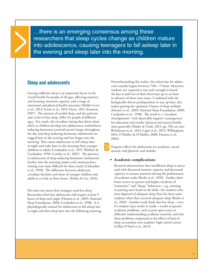…there is an emerging consensus among these researchers that sleep cycles change as children mature into adolescence, causing teenagers to fall asleep later in the evening and sleep later into the morning.

# **Sleep and adolescents**

Getting sufficient sleep is an important factor in the overall health for people of all ages, affecting memory and learning, attention capacity, and a range of emotional and physical health outcomes (Moller-Levet et al., 2013; Foster et al., 2013; Payne, 2011; Knutson, 2007). The amount of needed sleep, and the patterns and cycles of that sleep, differ for people of different ages. For youth, the circadian timing that drives sleep shifts as children develop into adolescence; wakefulnessinducing hormones (cortisol) persist longer throughout the day and sleep-inducing hormones (melatonin) are trigged later in the evening and last longer into the morning. This causes adolescents to fall asleep later at night and wake later in the morning than younger children or adults (Carskadon et al., 1997; Wolfson & Carskadon, 1998; Crowley et al., 2007). The presence in adolescents of sleep-inducing hormones (melatonin) further into the morning makes early morning functioning even more difficult for these youth (Carkasdon et al., 1998). The difference between adolescent circadian rhythms and those of younger children and adults is as wide as three hours. (Kelley & Lee, 2014).

This does not mean that teenagers need less sleep. Researchers find that adolescents still require at least 9 hours of sleep each night (Hansen et al., 2005; National Sleep Foundation, 2000; Carskadon et al., 1998). It is physiologically natural for adolescents to fall asleep late at night and then sleep later into the following morning. Notwithstanding this reality, the school day for adolescents usually begins between 7:00—7:45am. Moreover, students are required to rise early enough to board the bus or pull out of their driveways up to an hour in advance of these start times. Combined with the biologically-driven predisposition to stay up later, this makes getting the optimum 9 hours of sleep unlikely (Hansen et al., 2005; National Sleep Foundation, 2000; Carskadon et al., 1998). The result is a "circadian misalignment" with observable negative consequences for education and youths' physical and mental health more generally (Hasler & Clark, 2013, pp. 558; see also Wahlstorm et al., 2014; Leger et al., 2013; Willingham, 2012; O'Malley & O'Malley, 2008; Hansen et al., 2005).

Negative effects for adolescents are academic, social, mental, and physical, and include:

# **• Academic complications**

 Research demonstrates that insufficient sleep is associated with decreased memory capacity and decreased capacity to sustain attention during the performance of academic tasks (Beebe et al., 2010). Studies show lower scores on quizzes and higher incidents of "inattentive" and "sleepy" behaviors—e.g. yawning or putting one's head on the desk—for students who were deprived of adequate sleep than for these same students when they received adequate sleep (Beebe et al., 2010). Another study finds that less sleep—even if a student stays awake to study—results in greater academic problems, such as poor quiz scores or difficulty understanding academic material, and that these problems compound as the effects of lack of sleep accumulate over students' high school careers (Gillen-O'Neel et al., 2013).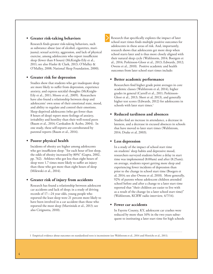# **• Greater risk-taking behaviors**

 Research finds greater risk-taking behaviors, such as substance abuse (use of alcohol, cigarettes, marijuana); sexual activity, aggression, and lack of physical exercise, among adolescents who report insufficient sleep (fewer than 8 hours) (McKnight-Eily et al., 2011; see also Hasler & Clark, 2013; O'Malley & O'Malley, 2008; National Sleep Foundation, 2000).

#### **• Greater risk for depression**

 Studies show that students who get inadequate sleep are more likely to suffer from depression, experience anxiety, and express suicidal thoughts (McKnight-Eily et al., 2011; Moore et al., 2009). Researchers have also found a relationship between sleep and adolescents' own sense of their emotional state, mood, and ability to regulate and control their emotions. Sleep-deprived adolescents (who get fewer than 8 hours of sleep) report more feelings of anxiety, irritability and hostility than their well-rested peers (Baum et al., 2014; Carskadon & Acebo, 2004). In one study, these self-reports are corroborated by parental reports (Baum et al., 2014).

#### **• Poorer physical health**

 Incidents of obesity are higher among adolescents who get insufficient sleep: "for each hour of lost sleep, the odds of obesity increased by 80%" (Gupta, 2002, pp. 762). Athletes who got less than eight hours of sleep were 1.7 times more likely to suffer an injury than those who got more than eight hours of sleep (Milewski et al., 2014).

## **• Greater risk of injury from accidents**

 Research has found a relationship between adolescent car accidents and lack of sleep; in a study of driving records of 17—24 year olds, young people who reported the least sleep were 21 percent more likely to have been involved in a car accident than those who reported the most sleep (Martiniuk et al., 2013; see also Cirignotta, 2010).

Research that specifically explores the impact of later school start times finds multiple positive outcomes for adolescents in these areas of risk. And, importantly, research shows that adolescents get more sleep when school starts later and is thus more closely aligned with their natural sleep cycle (Wahlstorm, 2014; Boergers et al., 2014; Perkinson-Gloor et al., 2013; Edwards, 2012; Owens et al., 2010). Positive academic and health outcomes from later school start times include:

# **• Better academic performance**

 Researchers find higher grade point averages in core academic classes (Wahlstrom et al, 2014), higher grades in general (Carrell et al., 2011; Perkinson-Gloor et al., 2013; Short et al, 2013), and generally higher test scores (Edwards, 2012) for adolescents in schools with later start times.<sup>1</sup>

# **• Reduced tardiness and absences**

 Studies find an increase in attendance, a decrease in lateness, and a decrease in excused absences in schools that have moved to later start times (Wahlstrom, 2014; Drake et al, 2003).

# **• Less depression**

 In a study of the impact of school start time on students' sleep habits and depressive mood, researchers surveyed students before a delay in start time was implemented (8:00am) and after (8:25am); on average, students report getting more sleep and experiencing fewer incidents of depression than prior to the change in school start time (Boegers et al, 2014; see also Owens et al, 2010). More generally, 92% of parents whose adolescent children attended school before and after a change to a later start time reported that "their children are easier to live with as a result of the change (to a later school start time)" (Wahlstrom, KCRW radio interview, 4/7/14).

# **• Fewer car accidents**

 In Fayette County, KY, adolescent car crashes were reduced by more than 16% in the two years subsequent to instituting a later start time for high schools

1 Empirical evidence about outcomes on standardized tests is inconsistent (see Wahlstrom et al., 2014 and Hinrichs et al., 2011).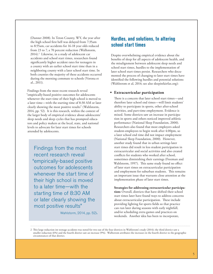(Danner 2008). In Teton County, WY, the year after the high school first bell was delayed from 7:35am to 8:55am, car accidents for 16-18 year olds reduced from 23 to 7, a 70 percent reduction (Walhstorm, 2014).2 Likewise, in a study of adolescent car accidents and school start times, researchers found significantly higher accident rates for teenagers in a county with an earlier school start time than in a neighboring county with a later school start time. In both counties the majority of these accidents occurred during the morning commute to schools (Vorona et al., 2011).

Findings from the most recent research reveal "empirically-based positive outcomes for adolescents whenever the start time of their high school is moved to a later time—with the starting time of 8:30 AM or later clearly showing the most positive results" (Wahlstorm, 2014, pp. 52). It is this research, within the context of the larger body of empirical evidence about adolescents' sleep needs and sleep cycles that has prompted educators and policy makers at the local, state, and national levels to advocate for later start times for schools attended by adolescents.

Findings from the most recent research reveal "empirically-based positive outcomes for adolescents whenever the start time of their high school is moved to a later time—with the starting time of 8:30 AM or later clearly showing the most positive results"

Wahlstorm, 2014, pp. 52).

# **Hurdles, and solutions, to altering school start times**

Despite overwhelming empirical evidence about the benefits of sleep for all aspects of adolescent health, and the misalignment between adolescent sleep needs and school start times, hurdles to the implementation of later school start times persist. Researchers who documented the process of changing to later start times have identified the following hurdles and potential solutions (Wahlstrom et al, 2014; see also sleepinfairfax.org):

# **• Extracurricular participation**

 There is a concern that later school start times—and therefore later school end times—will limit students' ability to participate in sports, other after-school activities, and part-time employment. Evidence is mixed. Some districts saw an increase in participation in sports and others noticed improved athletic performance (National Sleep Foundation, 2000). Researchers also found that most employers asked student-employees to begin work after 4:00pm, so a later school end time did not impact employment (National Sleep Foundation, 2000). However, another study found that in urban settings later start times did result in less student participation in extracurricular and social activities and also created conflicts for students who worked after school, sometimes diminishing their earnings (Freeman and Wahlstorm, 1997). This same study found no effect of later start times on extracurricular participation and employment for suburban students. This remains an important issue that warrants close attention at the implementation phase of later start times.

#### **Strategies for addressing extracurricular participa-**

**tion:** Overall, districts that have shifted their school start times later have found ways to address concerns about extracurricular participation. These include providing lighting for sports fields so that practice can run later during seasons with early nightfall, and/or scheduling extra games and practices on weekends. Another idea has been to incorporate,

<sup>2</sup> This large reduction int teenage accidents was noted for two out of the four districts in Wahlstrom's study (2014); the third district saw a smaller reduction (6%) and the fourth district saw an increase (9%). Walhstrom attributes the increases in the fourth district to the geographic circumstances of that district.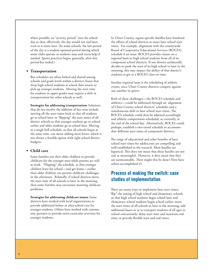where possible, an "activity period" into the school day so that, effectively, the day would not end later, even as it starts later. (In some schools, the last period of the day is a student-optional period during which some clubs operate or students may seek extra help if needed. Sports practices begin, generally, after this period has ended.)

# **• Transportation**

 Bus schedules are often linked and shared among schools and grade levels within a district; buses that drop high school students at school then return to pick up younger students. Moving the start time for students in upper grades may require a shift in transportation for other schools as well.

**Strategies for addressing transportation:** Solutions that do not involve the addition of bus runs include moving all the start times back so that all students go to school later, or "flipping" the start times of all district schools so that younger students go to school earlier and older students go to school later. Moving to a single bell schedule, so that all schools begin at the same time, can mean adding more buses, which is not always a feasible option with tight school district budgets.

# **• Child care**

 Some families use their older children to provide childcare for the younger ones while parents are still at work. "Flipping" the schedule, so that younger children leave for school—and get home—earlier than older children can present childcare challenges in the afternoon. Relatedly, if school districts move the start time of all schools to later in the morning, then some families may encounter morning childcare problems.

**Strategies for addressing childcare issues:** Some districts have worked with local organizations to provide additional before or after-school care for younger students. Others have worked with community partners to provide extra-curricular activities for younger students.

In Ulster County, region-specific hurdles have hindered the efforts of school districts to enact later school start times. For example, alignment with the countywide Board of Cooperative Educational Services (BOCES) schedule is an issue. BOCES provides classes on a regional basis to high school students from all of its component school districts. If one district unilaterally decides to push the start of its high school to later in the morning, this may impact the ability of that district's students to get to a BOCES class on time.

Another regional issue is the scheduling of athletic events, since Ulster County districts compete against one another in sports.

Both of these challenges—the BOCES schedule and athletics—could be addressed through an alignment of Ulster County school districts' schedules and a simultaneous shift to later school start times. The BOCES schedule could then be adjusted accordingly and athletic competitions scheduled, as currently, at the end of the school day. Alternatively, BOCES could, perhaps, establish a two-tiered schedule to accommodate different start times of component districts.

The range of educational and other benefits of later school start times for adolescents are compelling and well-established in the research. Most hurdles are logistical. This does not mean that these hurdles are not real or meaningful. However, it does mean that they are surmountable. How might this be done? How have others accomplished it?

# **Process of making the switch: case studies of implementation**

There are many ways to implement later start times: "flip" the timing of high school and elementary schools so that high school students begin school later and elementary school students begin school earlier; move the start times of all schools to later in the morning; add additional buses so as to transport students of all ages to school concurrently; delay start time and maintain end time; or provide flexible start and end times.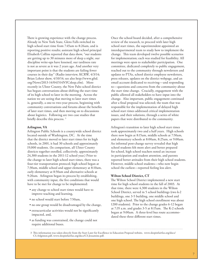There is growing experience with the change process. Already in New York State, Glens Falls switched its high school start time from 7:45am to 8:26am, and is reporting positive results; assistant high school principal Elisabeth Collins reported that data show, "our students are getting up to 30 minutes more of sleep a night, our discipline write-ups have lessened, our tardiness rate is not as severe as it was 2 years ago. And another very important point is that the students are failing fewer courses in their day" (Radio interview, KCRW, 4/3/14; Brian Lehrer show, 4/10/14; see also http://www.gfsd. org/News/2013-14/041514NYCsleep.cfm). More recently in Ulster County, the New Paltz school district has begun conversations about shifting the start time of its high school to later in the morning. Across the nation we are seeing that moving to later start times is, generally, a one-to two-year process, beginning with community conversations and forums about the benefits of later start times, and then moving on to discussions about logistics. Following are two case studies that briefly describe this process. 3

#### **Arlington, VA**

Arlington Public Schools is a countywide school district located outside of Washington, DC. At the time that the district moved to later start times for its high schools, in 2001, it had 30 schools and approximately 19,000 students. (In comparison, all Ulster County districts together enrolled, collectively, approximately 24,300 students in the 2011-12 school year.) Prior to the change to later high school start times, there was a four-tier transportation protocol; high school began at 7:30am, middle school and upper elementary at 8:10am, early elementary at 8:50am and alternative schools at 9:20am. Arlington began its process by establishing, with community input, the five conditions that would have to be met for change to be implemented:

- any change to school start times would have to improve teaching and learning,
- no school would start before 7:50am,
- no one group would be disadvantaged by the change,
- extracurricular activities would not be significantly impacted, and,
- as funding was constrained, the change could not require additional buses.

Once the school board decided, after a comprehensive review of the research, to proceed with later high school start times, the superintendent appointed an interdepartmental team to study how to implement the change. This team developed twelve possible scenarios for implementation; each was studied for feasibility. All meetings were open to stakeholder participation. One committee, dedicated completely to public engagement, reached out to the community through newsletters and updates to PTAs, school district employee newsletters, press releases, updates on the district webpage, and an email account dedicated to receiving—and responding to—questions and concerns from the community about the start time change. Crucially, engagement with the public allowed all stakeholders to have input into the change. Also important, public engagement continued after a final proposal was selected; the team that was responsible for the implementation of delayed high school start times addressed critical implementation issues, and their solutions, through a series of white papers that were distributed to the community.

Arlington's transition to later high school start times took approximately two and a half years. High schools there now begin at 8:15am, middle schools at 7:50am, and elementary schools at 8:00am, 8:25am, or 9:00am. An informal post-change survey revealed that high school students felt more alert and better prepared for school, high school teachers noted an increase in participation and student attention, and parents reported better attitudes from their high school students. However, middle school students—who now begin school the earliest—reported feeling less alert.

#### **Wilton School District, CT**

The Wilton School District implemented a new start time for high school students in the fall of 2003. At that time, there were 4,300 students in the Wilton School District, served in 5 school buildings (two k-2 buildings, one 3-5 building, one middle school and one high school. The high school enrollment was about 1200 students). Prior to the change grades 6-12 began at 7:35 a.m. and grades 3-5 at 8:15am. The K-2 schools began at 9:00am. A three-level bus route accommodated these three different start times.

3 This information was taken directly from the Start Later for Excellence in Education Proposal website, www.sleepinfairfax.org/docs/ CS.Arlginton.pdf, www.sleepinfairfax.org/docs/CS.Jessamine.pdf.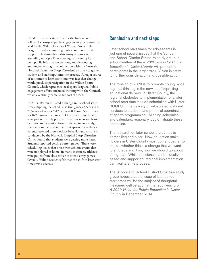The shift to a later start time for the high school followed a two-year public engagement process—initiated by the Wilton League of Women Voters. The League played a convening, public awareness, and support role throughout this two-year process, attending multiple PTA meetings, convening its own public information sessions, and developing and implementing (in conjunction with the Norwalk Hospital Center for Sleep Disorders) a survey to garner student and staff input into the process. A major source of resistance to later start times was fear that change would preclude participation in the Wilton Sports Council, which represents local sports leagues. Public engagement efforts included working with the Council, which eventually came to support the idea.

In 2003, Wilton initiated a change in its school start times, flipping the schedule so that grades 3-5 begin at 7:35am and grades 6-12 begin at 8:15am. Start times for K-2 remain unchanged. Outcomes from the shift were predominately positive. Teachers reported better behavior and attention from students; interestingly, there was an increase in the participation in athletics. Parents reported more positive behavior and a survey, conducted by the Norwalk Hospital Sleep Disorders Clinic, found that students were getting more sleep. Students reported getting better grades. There were scheduling issues that arose with athletic events that were not played at home; in many instances, athletes were pulled from class earlier to attend away games. Overall, Wilton residents felt that the shift to later start times was a success.

# **Conclusion and next steps**

Later school start times for adolescents is just one of several issues that the School and School District Structure study group, a subcommittee of the *A 2020 Vision for Public Education in Ulster County*, will present to participants in the larger 2020 Vision initiative for further consideration and possible action.

The mission of 2020 is to promote county-wide, regional thinking in the service of improving educational delivery. In Ulster County, the regional obstacles to implementation of a later school start time include scheduling with Ulster BOCES in the delivery of valuable educational services to students and potential coordination of sports programming. Aligning schedules and calendars, regionally, could mitigate these obstacles.

The research on later school start times is compelling and clear. Now education stakeholders in Ulster County must come together to decide whether this is a change that we want to embrace and if so, how we should go about doing that. While decisions must be locallybased and supported, regional implementation can facilitate the process.

The School and School District Structure study group hopes that the issue of later school start times will be the subject of thoughtful, measured delliberation at the reconvening of *A 2020 Vision for Public Education in Ulster County* in December, 2014.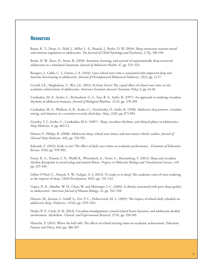# **Resources**

Baum, K. T., Desai, A., Field, J., Miller, L. E., Rausch, J., Beebe, D. W. (2014). Sleep restriction worsens mood and emotion regulation in adolescents. *The Journal of Child Psychology and Psychiatry, 2*. Pp. 180-190.

Beebe, D. W., Rose, D., Amin, R. (2010). Attention, learning, and arousal of experimentally sleep-restricted adolescents in a simulated classroom. *Journal of Adolescent Health, 47*, pp. 523–525.

Boergers, J., Gable, C. J., Owens, J. A. (2014). Later school start time is associated with improved sleep and daytime functioning in adolescents. *Journal of Developmental Behavioral Pediatrics, 35(1)*, pp. 11-17.

Carrell, S.E., Maghakian, T., Wes, J.E. (2011) A's from Zzzz's? The causal effect of school start time on the academic achievement of adolescents. *American Economic Journal: Economic Policy 3*, pp. 62-81.

Carskadon, M. A., Acebo, C., Richardson, G. S., Tate, B. A., Seifer, R. (1997). An approach to studying circadian rhythms of adolescent humans. *Journal of Biological Rhythms, 12(3)*, pp. 278-289.

Carskadon, M. A., Wolfson, A. R., Acebo, C., Tzischinsky, O., Seifer, R. (1998). *Adolescent sleep patterns, circadian timing, and sleepiness at a transition to early school days. Sleep, 21(8)*, pp. 871-881.

Crowley, S. J., Acebo, C., Carskadon, M.A. (2007). Sleep, circadian rhythms, and delayed phase in adolescence. *Sleep Medicine, 8*, pp. 602-12.

Danner, F., Philips, B. (2008). Adolescent sleep, school start times, and teen motor vehicle crashes. *Journal of Clinical Sleep Medicine, 4(6)*, pp. 533-535.

Edwards, F. (2012). Early to rise? The effect of daily start times on academic performance. *Economics of Education Review, 31(6)*, pp. 970-983.

Foster, R. G., Peirson, S. N., Wulff, K., Winnebeck, E., Vetter, C., Roenneberg, T. (2013). Sleep and circadian rhythm disruption in social jetlag and mental illness. *Progress in Molecular Biology and Translational Science, 119*, pp. 325-346.

Gillen-O'Neel, C., Huynh, V. W., Fuligni, A. J. (2013). To study or to sleep? The academic costs of extra studying at the expense of sleep. *Child Development, 84(1)*, pp. 133–142.

Gupta, N. K., Mueller, W. H., Chan, W. and Meininger, J. C. (2002), Is obesity associated with poor sleep quality in adolescents?. *American Journal of Human Biology, 14*, pp. 762–768.

Hansen, M., Janssen, I., Schiff, A., Zee, P. C., Dubocovich, M. L. (2005). The impact of school daily schedule on adolescent sleep. *Pediatrics, 115(6)*, pp. 1555-1561.

Hasler, B. P., Clark, D. B. (2013). Circadian misalignment, reward-related brain function, and adolescent alcohol involvement. *Alcoholism, Clinical, and Experimental Research, 37(4)*, pp. 558-565.

Hinrichs, P. (2011). When the bell tolls: The effects of school starting times on academic achievement. *Education Finance and Policy, 6(4)*, pp. 486-507.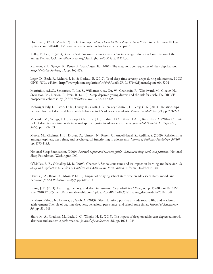Hoffman, J. (2014, March 13). *To keep teenagers alert, schools let them sleep in.* New York Times. http://well.blogs. nytimes.com/2014/03/13/to-keep-teenagers-alert-schools-let-them-sleep-in/

Kelley, P., Lee, C. (2014). *Later school start times in adolescence: Time for change*. Education Commission of the States: Denver, CO. http://www.ecs.org/clearinghouse/01/12/19/11219.pdf

Knutson, K.L., Spiegel, K., Penev, P., Van Cauter, E. (2007). The metabolic consequences of sleep deprivation. *Sleep Medicine Reviews, 11*, pp. 163-178.

Leger, D., Beck, F., Richard, J. B., & Godeau, E. (2012). Total sleep time severely drops during adolescence. PLOS ON*E, 7(10)*, e45204. http://www.plosone.org/article/info%3Adoi%2F10.1371%2Fjournal.pone.0045204

Martiniuk, A.L.C., Senserrick, T., Lo, S., Williamson, A., Du, W., Grunstein, R., Woodward, M., Glozier, N., Stevenson, M., Norton, R., Ivers, R. (2013). Sleep-deprived young drivers and the risk for crash. The DRIVE prospective cohort study. *JAMA Pediatrics, 167(7)*, pp. 647-655.

McKnight-Eily, L., Eaton, D. K., Lowry, R., Croft, J. B., Presley-Cantrell, L., Perry, G. S. (2011). Relationships between hours of sleep and health-risk behaviors in US adolescent students. *Preventive Medicine, 53*, pp. 271-273.

Milewski, M., Skaggs, D.L., Bishop, G.A., Pace, J.L., Ibrahim, D.A., Wren, T.A.L., Barzdukas, A. (2014). Chronic lack of sleep is associated with increased sports injuries in adolescent athletes. *Journal of Pediatric Orthopaedics, 34(2*), pp. 129-133.

Moore, M., Kirchner, H.L., Drotar, D., Johnson, N., Rosen, C., Ancoli-Israel, S., Redline, S. (2009). Relationships among sleepiness, sleep time, and psychological functioning in adolescents. *Journal of Pediatric Psychology, 34(10),* pp. 1175-1183.

National Sleep Foundation. (2000). *Research report and resource guide. Adolescent sleep needs and patterns.* National Sleep Foundation: Washington DC.

O'Malley, E. B., O'Malley, M. B. (2008). Chapter 7. School start time and its impact on learning and behavior. *In Sleep and Psychiatric Disorders in Children and Adolescents, First Edition*. Informa Healthcare: UK.

Owens, J. A., Belon, K., Moss, P. (2010). Impact of delaying school start time on adolescent sleep, mood, and behavior. *JAMA Pediatrics, 164(7)*, pp. 608-614.

Payne, J. D. (2011). Learning, memory, and sleep in humans. *Sleep Medicine Clinics, 6*, pp. 15–30. doi:10.1016/j. jsmc.2010.12.005 http://ndsamlab.weebly.com/uploads/9/6/8/2/9682359/19payne\_sleepmedclin2011-1.pdf

Perkinson-Gloor, N., Lemola, S., Grob, A. (2013). Sleep duration, positive attitude toward life, and academic achievement: The role of daytime tiredness, behavioral persistence, and school start times. *Journal of Adolescence, 36*. pp. 311-318.

Short, M. A., Gradisar, M., Lack, L. C., Wright, H. R. (2013). The impact of sleep on adolescent depressed mood, alertness and academic performance. *Journal of Adolescence, 36*. pp. 1025-1033.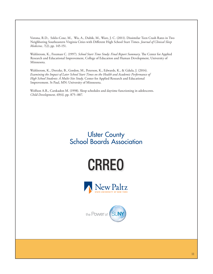Vorona, R.D., Szklo-Coxe, M., Wu, A., Dubik, M., Ware, J. C. (2011). Dissimilar Teen Crash Rates in Two Neighboring Southeastern Virginia Cities with Different High School Start Times. *Journal of Clinical Sleep Medicine, 7(2)*, pp. 145-151.

Wahlstrom, K., Freeman C. (1997). *School Start Time Study: Final Report Summary*. The Center for Applied Research and Educational Improvement, College of Education and Human Development, University of Minnesota.

Wahlstrom, K., Dretzke, B., Gordon, M., Peterson, K., Edwards, K., & Gdula, J. (2014). *Examining the Impact of Later School Start Times on the Health and Academic Performance of High School Students: A Multi-Site Study*. Center for Applied Research and Educational Improvement. St Paul, MN: University of Minnesota.

Wolfson A.R., Carskadon M. (1998). Sleep schedules and daytime functioning in adolescents. *Child Development, 69(4)*, pp. 875–887.

# Ulster County School Boards Association

BEFORE SENDING MATERIALS WITH THIS LOGO TO FINAL PRINT, PLEASE SEND PDF TO: Leydi.Zapata@suny.edu